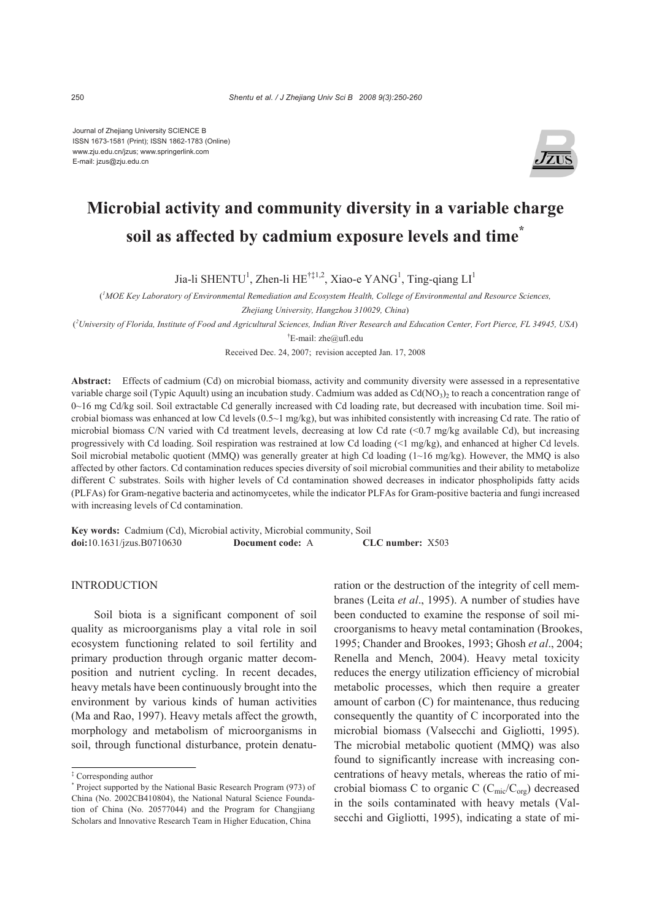Journal of Zhejiang University SCIENCE B ISSN 1673-1581 (Print); ISSN 1862-1783 (Online) www.zju.edu.cn/jzus; www.springerlink.com E-mail: jzus@zju.edu.cn



# **Microbial activity and community diversity in a variable charge soil as affected by cadmium exposure levels and time\***

Jia-li SHENTU<sup>1</sup>, Zhen-li HE<sup>†‡1,2</sup>, Xiao-e YANG<sup>1</sup>, Ting-qiang LI<sup>1</sup>

( *1 MOE Key Laboratory of Environmental Remediation and Ecosystem Health, College of Environmental and Resource Sciences,* 

*Zhejiang University, Hangzhou 310029, China*)

( *2 University of Florida, Institute of Food and Agricultural Sciences, Indian River Research and Education Center, Fort Pierce, FL 34945, USA*) † E-mail: zhe@ufl.edu

Received Dec. 24, 2007; revision accepted Jan. 17, 2008

**Abstract:** Effects of cadmium (Cd) on microbial biomass, activity and community diversity were assessed in a representative variable charge soil (Typic Aquult) using an incubation study. Cadmium was added as  $Cd(NO<sub>3</sub>)<sub>2</sub>$  to reach a concentration range of 0~16 mg Cd/kg soil. Soil extractable Cd generally increased with Cd loading rate, but decreased with incubation time. Soil microbial biomass was enhanced at low Cd levels  $(0.5~1~\text{mg/kg})$ , but was inhibited consistently with increasing Cd rate. The ratio of microbial biomass C/N varied with Cd treatment levels, decreasing at low Cd rate (<0.7 mg/kg available Cd), but increasing progressively with Cd loading. Soil respiration was restrained at low Cd loading (<1 mg/kg), and enhanced at higher Cd levels. Soil microbial metabolic quotient (MMQ) was generally greater at high Cd loading  $(1{\sim}16 \text{ mg/kg})$ . However, the MMQ is also affected by other factors. Cd contamination reduces species diversity of soil microbial communities and their ability to metabolize different C substrates. Soils with higher levels of Cd contamination showed decreases in indicator phospholipids fatty acids (PLFAs) for Gram-negative bacteria and actinomycetes, while the indicator PLFAs for Gram-positive bacteria and fungi increased with increasing levels of Cd contamination.

**Key words:** Cadmium (Cd), Microbial activity, Microbial community, Soil **doi:**10.1631/jzus.B0710630 **Document code:** A **CLC number:** X503

**INTRODUCTION** 

Soil biota is a significant component of soil quality as microorganisms play a vital role in soil ecosystem functioning related to soil fertility and primary production through organic matter decomposition and nutrient cycling. In recent decades, heavy metals have been continuously brought into the environment by various kinds of human activities (Ma and Rao, 1997). Heavy metals affect the growth, morphology and metabolism of microorganisms in soil, through functional disturbance, protein denaturation or the destruction of the integrity of cell membranes (Leita *et al*., 1995). A number of studies have been conducted to examine the response of soil microorganisms to heavy metal contamination (Brookes, 1995; Chander and Brookes, 1993; Ghosh *et al*., 2004; Renella and Mench, 2004). Heavy metal toxicity reduces the energy utilization efficiency of microbial metabolic processes, which then require a greater amount of carbon (C) for maintenance, thus reducing consequently the quantity of C incorporated into the microbial biomass (Valsecchi and Gigliotti, 1995). The microbial metabolic quotient (MMQ) was also found to significantly increase with increasing concentrations of heavy metals, whereas the ratio of microbial biomass C to organic C ( $C_{\text{mic}}/C_{\text{org}}$ ) decreased in the soils contaminated with heavy metals (Valsecchi and Gigliotti, 1995), indicating a state of mi-

<sup>‡</sup> Corresponding author

<sup>\*</sup> Project supported by the National Basic Research Program (973) of China (No. 2002CB410804), the National Natural Science Foundation of China (No. 20577044) and the Program for Changjiang Scholars and Innovative Research Team in Higher Education, China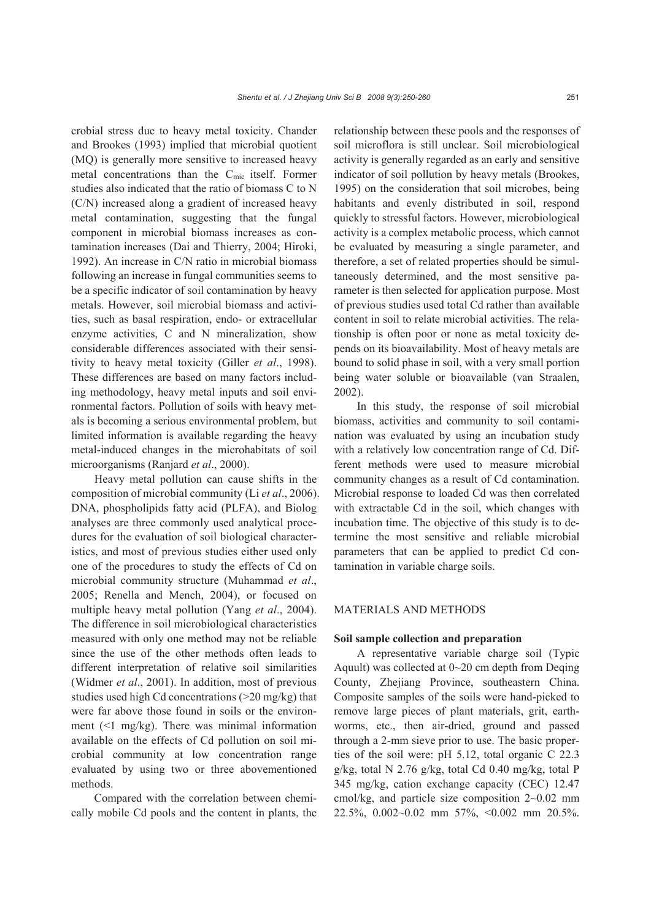crobial stress due to heavy metal toxicity. Chander and Brookes (1993) implied that microbial quotient (MQ) is generally more sensitive to increased heavy metal concentrations than the  $C_{\text{mic}}$  itself. Former studies also indicated that the ratio of biomass C to N (C/N) increased along a gradient of increased heavy metal contamination, suggesting that the fungal component in microbial biomass increases as contamination increases (Dai and Thierry, 2004; Hiroki, 1992). An increase in C/N ratio in microbial biomass following an increase in fungal communities seems to be a specific indicator of soil contamination by heavy metals. However, soil microbial biomass and activities, such as basal respiration, endo- or extracellular enzyme activities, C and N mineralization, show considerable differences associated with their sensitivity to heavy metal toxicity (Giller *et al*., 1998). These differences are based on many factors including methodology, heavy metal inputs and soil environmental factors. Pollution of soils with heavy metals is becoming a serious environmental problem, but limited information is available regarding the heavy metal-induced changes in the microhabitats of soil microorganisms (Ranjard *et al*., 2000).

Heavy metal pollution can cause shifts in the composition of microbial community (Li *et al*., 2006). DNA, phospholipids fatty acid (PLFA), and Biolog analyses are three commonly used analytical procedures for the evaluation of soil biological characteristics, and most of previous studies either used only one of the procedures to study the effects of Cd on microbial community structure (Muhammad *et al*., 2005; Renella and Mench, 2004), or focused on multiple heavy metal pollution (Yang *et al*., 2004). The difference in soil microbiological characteristics measured with only one method may not be reliable since the use of the other methods often leads to different interpretation of relative soil similarities (Widmer *et al*., 2001). In addition, most of previous studies used high Cd concentrations (>20 mg/kg) that were far above those found in soils or the environment (<1 mg/kg). There was minimal information available on the effects of Cd pollution on soil microbial community at low concentration range evaluated by using two or three abovementioned methods.

Compared with the correlation between chemically mobile Cd pools and the content in plants, the relationship between these pools and the responses of soil microflora is still unclear. Soil microbiological activity is generally regarded as an early and sensitive indicator of soil pollution by heavy metals (Brookes, 1995) on the consideration that soil microbes, being habitants and evenly distributed in soil, respond quickly to stressful factors. However, microbiological activity is a complex metabolic process, which cannot be evaluated by measuring a single parameter, and therefore, a set of related properties should be simultaneously determined, and the most sensitive parameter is then selected for application purpose. Most of previous studies used total Cd rather than available content in soil to relate microbial activities. The relationship is often poor or none as metal toxicity depends on its bioavailability. Most of heavy metals are bound to solid phase in soil, with a very small portion being water soluble or bioavailable (van Straalen, 2002).

In this study, the response of soil microbial biomass, activities and community to soil contamination was evaluated by using an incubation study with a relatively low concentration range of Cd. Different methods were used to measure microbial community changes as a result of Cd contamination. Microbial response to loaded Cd was then correlated with extractable Cd in the soil, which changes with incubation time. The objective of this study is to determine the most sensitive and reliable microbial parameters that can be applied to predict Cd contamination in variable charge soils.

## MATERIALS AND METHODS

# **Soil sample collection and preparation**

A representative variable charge soil (Typic Aquult) was collected at  $0\neg 20$  cm depth from Deqing County, Zhejiang Province, southeastern China. Composite samples of the soils were hand-picked to remove large pieces of plant materials, grit, earthworms, etc., then air-dried, ground and passed through a 2-mm sieve prior to use. The basic properties of the soil were: pH 5.12, total organic C 22.3 g/kg, total N 2.76 g/kg, total Cd 0.40 mg/kg, total P 345 mg/kg, cation exchange capacity (CEC) 12.47 cmol/kg, and particle size composition 2~0.02 mm 22.5%, 0.002~0.02 mm 57%, <0.002 mm 20.5%.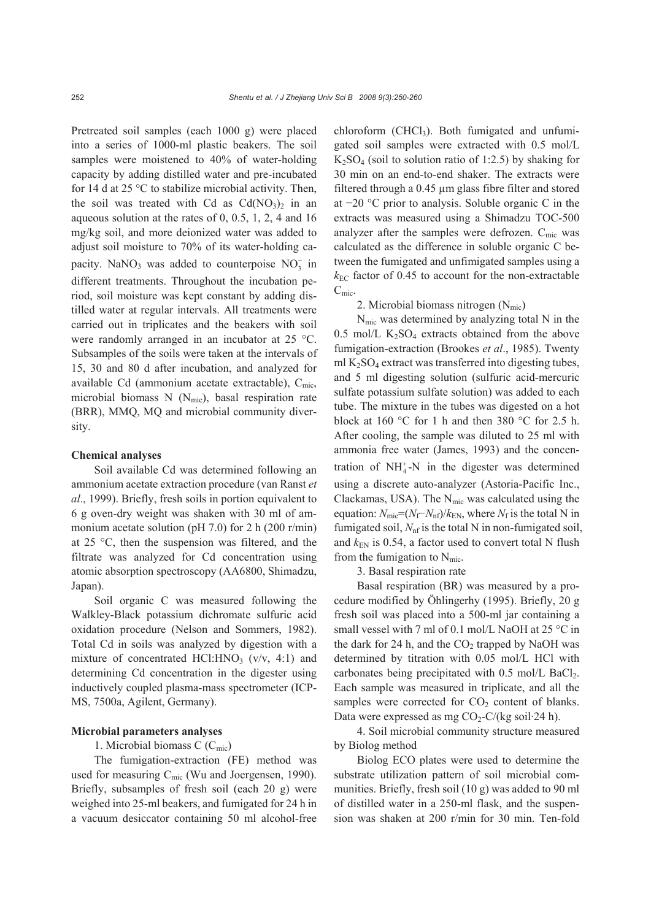Pretreated soil samples (each 1000 g) were placed into a series of 1000-ml plastic beakers. The soil samples were moistened to 40% of water-holding capacity by adding distilled water and pre-incubated for 14 d at 25 °C to stabilize microbial activity. Then, the soil was treated with Cd as  $Cd(NO<sub>3</sub>)<sub>2</sub>$  in an aqueous solution at the rates of 0, 0.5, 1, 2, 4 and 16 mg/kg soil, and more deionized water was added to adjust soil moisture to 70% of its water-holding capacity. NaNO<sub>3</sub> was added to counterpoise  $NO<sub>3</sub>$  in different treatments. Throughout the incubation period, soil moisture was kept constant by adding distilled water at regular intervals. All treatments were carried out in triplicates and the beakers with soil were randomly arranged in an incubator at 25 °C. Subsamples of the soils were taken at the intervals of 15, 30 and 80 d after incubation, and analyzed for available Cd (ammonium acetate extractable),  $C_{\text{mic}}$ , microbial biomass N  $(N_{\text{mic}})$ , basal respiration rate (BRR), MMQ, MQ and microbial community diversity.

#### **Chemical analyses**

Soil available Cd was determined following an ammonium acetate extraction procedure (van Ranst *et al*., 1999). Briefly, fresh soils in portion equivalent to 6 g oven-dry weight was shaken with 30 ml of ammonium acetate solution (pH 7.0) for 2 h (200 r/min) at 25 °C, then the suspension was filtered, and the filtrate was analyzed for Cd concentration using atomic absorption spectroscopy (AA6800, Shimadzu, Japan).

Soil organic C was measured following the Walkley-Black potassium dichromate sulfuric acid oxidation procedure (Nelson and Sommers, 1982). Total Cd in soils was analyzed by digestion with a mixture of concentrated HCl:HNO<sub>3</sub> ( $v/v$ , 4:1) and determining Cd concentration in the digester using inductively coupled plasma-mass spectrometer (ICP-MS, 7500a, Agilent, Germany).

## **Microbial parameters analyses**

# 1. Microbial biomass  $C(C_{\text{mic}})$

The fumigation-extraction (FE) method was used for measuring  $C_{\text{mic}}$  (Wu and Joergensen, 1990). Briefly, subsamples of fresh soil (each 20 g) were weighed into 25-ml beakers, and fumigated for 24 h in a vacuum desiccator containing 50 ml alcohol-free  $chloroform$  (CHCl<sub>3</sub>). Both fumigated and unfumigated soil samples were extracted with 0.5 mol/L  $K_2SO_4$  (soil to solution ratio of 1:2.5) by shaking for 30 min on an end-to-end shaker. The extracts were filtered through a 0.45 µm glass fibre filter and stored at −20 °C prior to analysis. Soluble organic C in the extracts was measured using a Shimadzu TOC-500 analyzer after the samples were defrozen.  $C_{\text{mic}}$  was calculated as the difference in soluble organic C between the fumigated and unfimigated samples using a  $k_{\text{EC}}$  factor of 0.45 to account for the non-extractable  $C_{\text{mic}}$ .

2. Microbial biomass nitrogen  $(N_{\text{mic}})$ 

Nmic was determined by analyzing total N in the  $0.5$  mol/L K<sub>2</sub>SO<sub>4</sub> extracts obtained from the above fumigation-extraction (Brookes *et al*., 1985). Twenty ml  $K_2SO_4$  extract was transferred into digesting tubes, and 5 ml digesting solution (sulfuric acid-mercuric sulfate potassium sulfate solution) was added to each tube. The mixture in the tubes was digested on a hot block at 160 °C for 1 h and then 380 °C for 2.5 h. After cooling, the sample was diluted to 25 ml with ammonia free water (James, 1993) and the concentration of  $NH_4^+$ -N in the digester was determined using a discrete auto-analyzer (Astoria-Pacific Inc., Clackamas, USA). The  $N<sub>mic</sub>$  was calculated using the equation:  $N_{\text{mic}} = (N_f - N_{\text{nf}})/k_{\text{EN}}$ , where  $N_f$  is the total N in fumigated soil,  $N<sub>nf</sub>$  is the total N in non-fumigated soil, and  $k_{EN}$  is 0.54, a factor used to convert total N flush from the fumigation to  $N_{\text{mic}}$ .

3. Basal respiration rate

Basal respiration (BR) was measured by a procedure modified by Öhlingerhy (1995). Briefly, 20 g fresh soil was placed into a 500-ml jar containing a small vessel with 7 ml of 0.1 mol/L NaOH at 25 °C in the dark for 24 h, and the  $CO<sub>2</sub>$  trapped by NaOH was determined by titration with 0.05 mol/L HCl with carbonates being precipitated with  $0.5$  mol/L BaCl<sub>2</sub>. Each sample was measured in triplicate, and all the samples were corrected for  $CO<sub>2</sub>$  content of blanks. Data were expressed as mg  $CO<sub>2</sub>-C/(kg \text{ soil-24 h})$ .

4. Soil microbial community structure measured by Biolog method

Biolog ECO plates were used to determine the substrate utilization pattern of soil microbial communities. Briefly, fresh soil (10 g) was added to 90 ml of distilled water in a 250-ml flask, and the suspension was shaken at 200 r/min for 30 min. Ten-fold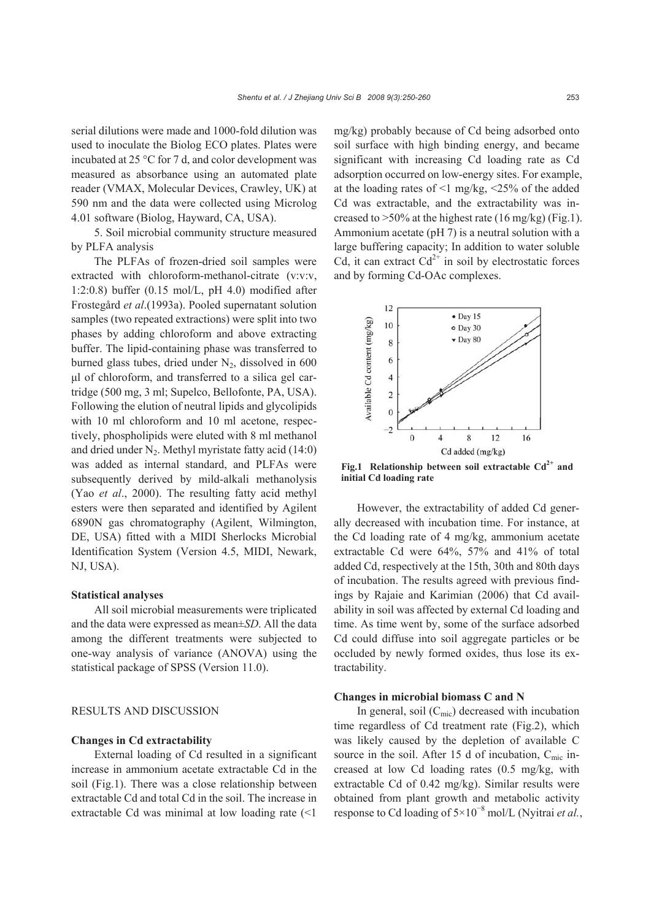serial dilutions were made and 1000-fold dilution was used to inoculate the Biolog ECO plates. Plates were incubated at 25 °C for 7 d, and color development was measured as absorbance using an automated plate reader (VMAX, Molecular Devices, Crawley, UK) at 590 nm and the data were collected using Microlog 4.01 software (Biolog, Hayward, CA, USA).

5. Soil microbial community structure measured by PLFA analysis

The PLFAs of frozen-dried soil samples were extracted with chloroform-methanol-citrate (v:v:v, 1:2:0.8) buffer  $(0.15 \text{ mol/L}, \text{pH } 4.0)$  modified after Frostegård *et al*.(1993a). Pooled supernatant solution samples (two repeated extractions) were split into two phases by adding chloroform and above extracting buffer. The lipid-containing phase was transferred to burned glass tubes, dried under  $N_2$ , dissolved in 600 μl of chloroform, and transferred to a silica gel cartridge (500 mg, 3 ml; Supelco, Bellofonte, PA, USA). Following the elution of neutral lipids and glycolipids with 10 ml chloroform and 10 ml acetone, respectively, phospholipids were eluted with 8 ml methanol and dried under  $N_2$ . Methyl myristate fatty acid (14:0) was added as internal standard, and PLFAs were subsequently derived by mild-alkali methanolysis (Yao *et al*., 2000). The resulting fatty acid methyl esters were then separated and identified by Agilent 6890N gas chromatography (Agilent, Wilmington, DE, USA) fitted with a MIDI Sherlocks Microbial Identification System (Version 4.5, MIDI, Newark, NJ, USA).

## **Statistical analyses**

All soil microbial measurements were triplicated and the data were expressed as mean±*SD*. All the data among the different treatments were subjected to one-way analysis of variance (ANOVA) using the statistical package of SPSS (Version 11.0).

## RESULTS AND DISCUSSION

# **Changes in Cd extractability**

External loading of Cd resulted in a significant increase in ammonium acetate extractable Cd in the soil (Fig.1). There was a close relationship between extractable Cd and total Cd in the soil. The increase in extractable Cd was minimal at low loading rate (<1 mg/kg) probably because of Cd being adsorbed onto soil surface with high binding energy, and became significant with increasing Cd loading rate as Cd adsorption occurred on low-energy sites. For example, at the loading rates of  $\leq$ 1 mg/kg,  $\leq$ 25% of the added Cd was extractable, and the extractability was increased to  $>50\%$  at the highest rate (16 mg/kg) (Fig.1). Ammonium acetate (pH 7) is a neutral solution with a large buffering capacity; In addition to water soluble Cd, it can extract  $Cd^{2+}$  in soil by electrostatic forces and by forming Cd-OAc complexes.



Fig.1 Relationship between soil extractable  $Cd^{2+}$  and **initial Cd loading rate**

However, the extractability of added Cd generally decreased with incubation time. For instance, at the Cd loading rate of 4 mg/kg, ammonium acetate extractable Cd were 64%, 57% and 41% of total added Cd, respectively at the 15th, 30th and 80th days of incubation. The results agreed with previous findings by Rajaie and Karimian (2006) that Cd availability in soil was affected by external Cd loading and time. As time went by, some of the surface adsorbed Cd could diffuse into soil aggregate particles or be occluded by newly formed oxides, thus lose its extractability.

### **Changes in microbial biomass C and N**

In general, soil  $(C_{\text{mic}})$  decreased with incubation time regardless of Cd treatment rate (Fig.2), which was likely caused by the depletion of available C source in the soil. After 15 d of incubation,  $C_{\text{mic}}$  increased at low Cd loading rates (0.5 mg/kg, with extractable Cd of 0.42 mg/kg). Similar results were obtained from plant growth and metabolic activity response to Cd loading of 5×10<sup>−</sup><sup>8</sup> mol/L (Nyitrai *et al.*,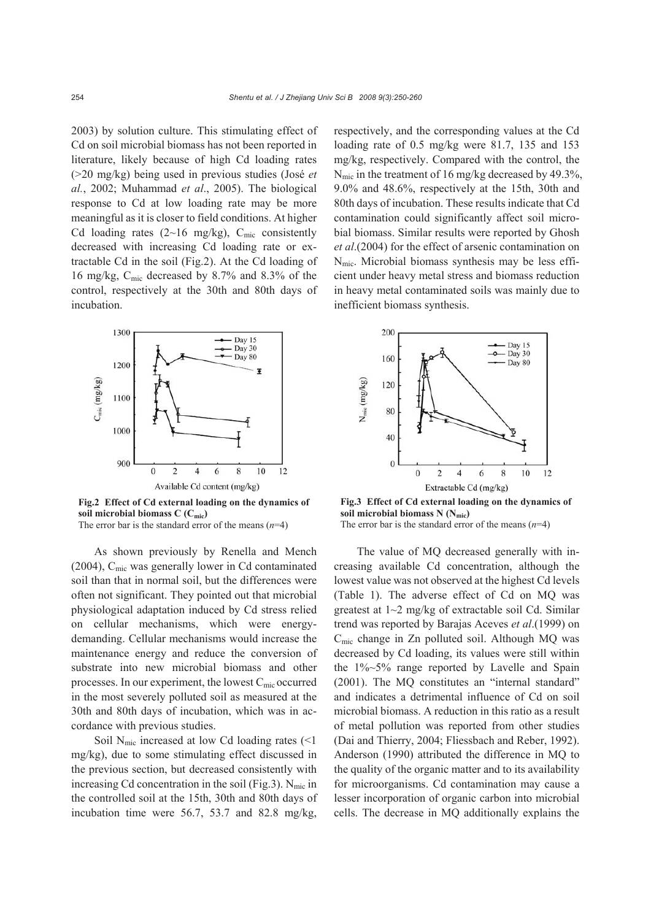2003) by solution culture. This stimulating effect of Cd on soil microbial biomass has not been reported in literature, likely because of high Cd loading rates (>20 mg/kg) being used in previous studies (José *et al.*, 2002; Muhammad *et al*., 2005). The biological response to Cd at low loading rate may be more meaningful as it is closer to field conditions. At higher Cd loading rates (2~16 mg/kg),  $C_{\text{mic}}$  consistently decreased with increasing Cd loading rate or extractable Cd in the soil (Fig.2). At the Cd loading of 16 mg/kg, Cmic decreased by 8.7% and 8.3% of the control, respectively at the 30th and 80th days of incubation.



**Fig.2 Effect of Cd external loading on the dynamics of soil microbial biomass C (Cmic)**  The error bar is the standard error of the means  $(n=4)$ 

As shown previously by Renella and Mench (2004), Cmic was generally lower in Cd contaminated soil than that in normal soil, but the differences were often not significant. They pointed out that microbial physiological adaptation induced by Cd stress relied on cellular mechanisms, which were energydemanding. Cellular mechanisms would increase the maintenance energy and reduce the conversion of substrate into new microbial biomass and other processes. In our experiment, the lowest  $C_{\text{mic}}$  occurred in the most severely polluted soil as measured at the 30th and 80th days of incubation, which was in accordance with previous studies.

Soil  $N_{\text{mic}}$  increased at low Cd loading rates (<1 mg/kg), due to some stimulating effect discussed in the previous section, but decreased consistently with increasing Cd concentration in the soil (Fig.3).  $N_{\text{mic}}$  in the controlled soil at the 15th, 30th and 80th days of incubation time were 56.7, 53.7 and 82.8 mg/kg,

respectively, and the corresponding values at the Cd loading rate of 0.5 mg/kg were 81.7, 135 and 153 mg/kg, respectively. Compared with the control, the Nmic in the treatment of 16 mg/kg decreased by 49.3%, 9.0% and 48.6%, respectively at the 15th, 30th and 80th days of incubation. These results indicate that Cd contamination could significantly affect soil microbial biomass. Similar results were reported by Ghosh *et al*.(2004) for the effect of arsenic contamination on  $N<sub>mic</sub>$ . Microbial biomass synthesis may be less efficient under heavy metal stress and biomass reduction in heavy metal contaminated soils was mainly due to inefficient biomass synthesis.



**Fig.3 Effect of Cd external loading on the dynamics of soil microbial biomass N (Nmic)**  The error bar is the standard error of the means (*n*=4)

The value of MQ decreased generally with increasing available Cd concentration, although the lowest value was not observed at the highest Cd levels (Table 1). The adverse effect of Cd on MQ was greatest at 1~2 mg/kg of extractable soil Cd. Similar trend was reported by Barajas Aceves *et al*.(1999) on Cmic change in Zn polluted soil. Although MQ was decreased by Cd loading, its values were still within the 1%~5% range reported by Lavelle and Spain (2001). The MQ constitutes an "internal standard" and indicates a detrimental influence of Cd on soil microbial biomass. A reduction in this ratio as a result of metal pollution was reported from other studies (Dai and Thierry, 2004; Fliessbach and Reber, 1992). Anderson (1990) attributed the difference in MQ to the quality of the organic matter and to its availability for microorganisms. Cd contamination may cause a lesser incorporation of organic carbon into microbial cells. The decrease in MQ additionally explains the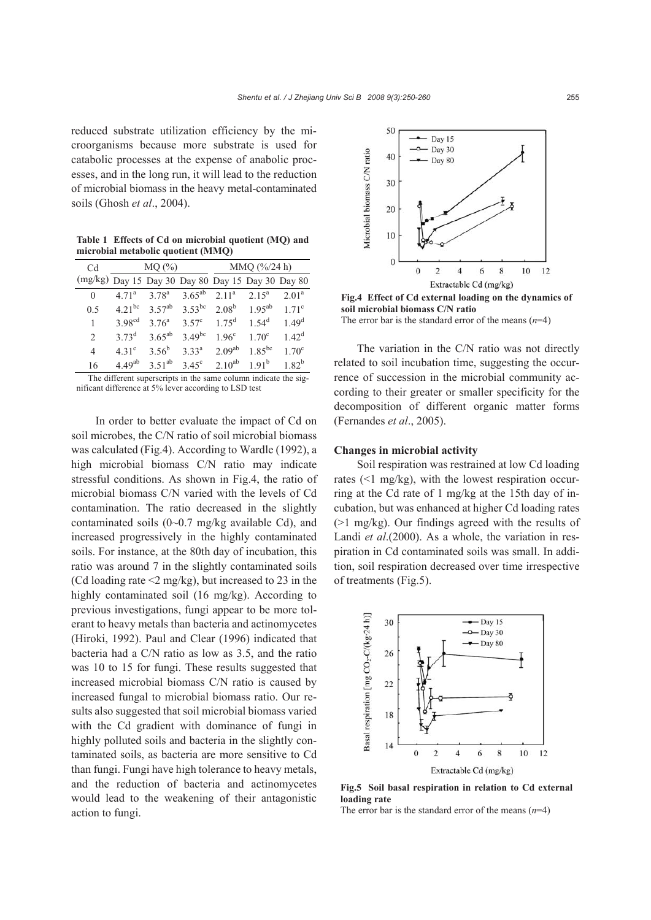reduced substrate utilization efficiency by the microorganisms because more substrate is used for catabolic processes at the expense of anabolic processes, and in the long run, it will lead to the reduction of microbial biomass in the heavy metal-contaminated soils (Ghosh *et al*., 2004).

**Table 1 Effects of Cd on microbial quotient (MQ) and microbial metabolic quotient (MMQ)**

| C <sub>d</sub>                                                  | MQ(%)              |                   |                   | MMQ (%24 h)        |                |                   |  |
|-----------------------------------------------------------------|--------------------|-------------------|-------------------|--------------------|----------------|-------------------|--|
| (mg/kg) Day 15 Day 30 Day 80 Day 15 Day 30 Day 80               |                    |                   |                   |                    |                |                   |  |
| $\Omega$                                                        | $4.71^{\rm a}$     | $3.78^{a}$        | $3.65^{ab}$       | 2.11 <sup>a</sup>  | $2.15^{\circ}$ | $2.01^a$          |  |
| 0.5                                                             | $4.21^{bc}$        | $3.57^{ab}$       | $3.53^{bc}$       | 2.08 <sup>b</sup>  | $1.95^{ab}$    | $1.71^{\circ}$    |  |
| 1                                                               | 3.98 <sup>cd</sup> | 3.76 <sup>a</sup> | $3.57^{\circ}$    | $1.75^{\rm d}$     | $1.54^d$       | 1.49 <sup>d</sup> |  |
| $\mathfrak{D}$                                                  | 373 <sup>d</sup>   | $3.65^{ab}$       | $3.49^{bc}$       | 1.96 <sup>c</sup>  | $170^{\circ}$  | $1.42^d$          |  |
| 4                                                               | $4.31^{\circ}$     | $3.56^{b}$        | 3.33 <sup>a</sup> | 2.09 <sup>ab</sup> | $1.85^{bc}$    | $1.70^{\circ}$    |  |
| 16                                                              | $4.49^{ab}$        | $3.51^{ab}$       | $3.45^\circ$      | $2.10^{ab}$        | $1.91^{b}$     | $1.82^{b}$        |  |
| The different superscripts in the same column indicate the sig- |                    |                   |                   |                    |                |                   |  |

nificant difference at 5% lever according to LSD test

In order to better evaluate the impact of Cd on soil microbes, the C/N ratio of soil microbial biomass was calculated (Fig.4). According to Wardle (1992), a high microbial biomass C/N ratio may indicate stressful conditions. As shown in Fig.4, the ratio of microbial biomass C/N varied with the levels of Cd contamination. The ratio decreased in the slightly contaminated soils (0~0.7 mg/kg available Cd), and increased progressively in the highly contaminated soils. For instance, at the 80th day of incubation, this ratio was around 7 in the slightly contaminated soils (Cd loading rate  $\leq$ 2 mg/kg), but increased to 23 in the highly contaminated soil (16 mg/kg). According to previous investigations, fungi appear to be more tolerant to heavy metals than bacteria and actinomycetes (Hiroki, 1992). Paul and Clear (1996) indicated that bacteria had a C/N ratio as low as 3.5, and the ratio was 10 to 15 for fungi. These results suggested that increased microbial biomass C/N ratio is caused by increased fungal to microbial biomass ratio. Our results also suggested that soil microbial biomass varied with the Cd gradient with dominance of fungi in highly polluted soils and bacteria in the slightly contaminated soils, as bacteria are more sensitive to Cd than fungi. Fungi have high tolerance to heavy metals, and the reduction of bacteria and actinomycetes would lead to the weakening of their antagonistic action to fungi.



**Fig.4 Effect of Cd external loading on the dynamics of soil microbial biomass C/N ratio**  The error bar is the standard error of the means (*n*=4)

The variation in the C/N ratio was not directly related to soil incubation time, suggesting the occurrence of succession in the microbial community according to their greater or smaller specificity for the decomposition of different organic matter forms (Fernandes *et al*., 2005).

## **Changes in microbial activity**

Soil respiration was restrained at low Cd loading rates (<1 mg/kg), with the lowest respiration occurring at the Cd rate of 1 mg/kg at the 15th day of incubation, but was enhanced at higher Cd loading rates (>1 mg/kg). Our findings agreed with the results of Landi *et al*.(2000). As a whole, the variation in respiration in Cd contaminated soils was small. In addition, soil respiration decreased over time irrespective of treatments (Fig.5).



**Fig.5 Soil basal respiration in relation to Cd external loading rate** 

The error bar is the standard error of the means  $(n=4)$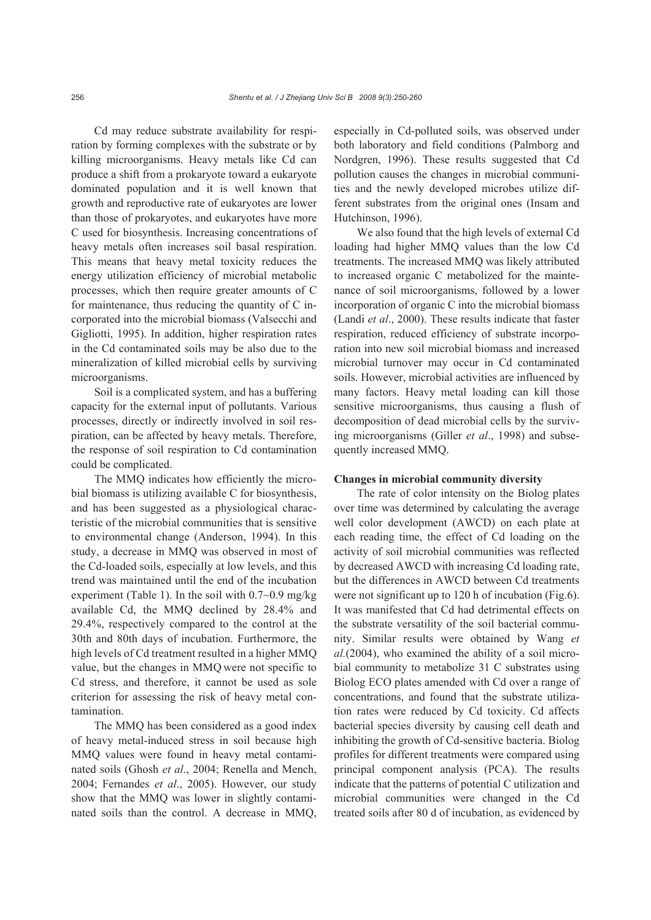Cd may reduce substrate availability for respiration by forming complexes with the substrate or by killing microorganisms. Heavy metals like Cd can produce a shift from a prokaryote toward a eukaryote dominated population and it is well known that growth and reproductive rate of eukaryotes are lower than those of prokaryotes, and eukaryotes have more C used for biosynthesis. Increasing concentrations of heavy metals often increases soil basal respiration. This means that heavy metal toxicity reduces the energy utilization efficiency of microbial metabolic processes, which then require greater amounts of C for maintenance, thus reducing the quantity of C incorporated into the microbial biomass (Valsecchi and Gigliotti, 1995). In addition, higher respiration rates in the Cd contaminated soils may be also due to the mineralization of killed microbial cells by surviving microorganisms.

Soil is a complicated system, and has a buffering capacity for the external input of pollutants. Various processes, directly or indirectly involved in soil respiration, can be affected by heavy metals. Therefore, the response of soil respiration to Cd contamination could be complicated.

The MMQ indicates how efficiently the microbial biomass is utilizing available C for biosynthesis, and has been suggested as a physiological characteristic of the microbial communities that is sensitive to environmental change (Anderson, 1994). In this study, a decrease in MMQ was observed in most of the Cd-loaded soils, especially at low levels, and this trend was maintained until the end of the incubation experiment (Table 1). In the soil with 0.7~0.9 mg/kg available Cd, the MMQ declined by 28.4% and 29.4%, respectively compared to the control at the 30th and 80th days of incubation. Furthermore, the high levels of Cd treatment resulted in a higher MMQ value, but the changes in MMQ were not specific to Cd stress, and therefore, it cannot be used as sole criterion for assessing the risk of heavy metal contamination.

The MMQ has been considered as a good index of heavy metal-induced stress in soil because high MMQ values were found in heavy metal contaminated soils (Ghosh *et al*., 2004; Renella and Mench, 2004; Fernandes *et al*., 2005). However, our study show that the MMQ was lower in slightly contaminated soils than the control. A decrease in MMQ, especially in Cd-polluted soils, was observed under both laboratory and field conditions (Palmborg and Nordgren, 1996). These results suggested that Cd pollution causes the changes in microbial communities and the newly developed microbes utilize different substrates from the original ones (Insam and Hutchinson, 1996).

We also found that the high levels of external Cd loading had higher MMQ values than the low Cd treatments. The increased MMQ was likely attributed to increased organic C metabolized for the maintenance of soil microorganisms, followed by a lower incorporation of organic C into the microbial biomass (Landi *et al*., 2000). These results indicate that faster respiration, reduced efficiency of substrate incorporation into new soil microbial biomass and increased microbial turnover may occur in Cd contaminated soils. However, microbial activities are influenced by many factors. Heavy metal loading can kill those sensitive microorganisms, thus causing a flush of decomposition of dead microbial cells by the surviving microorganisms (Giller *et al*., 1998) and subsequently increased MMQ.

## **Changes in microbial community diversity**

The rate of color intensity on the Biolog plates over time was determined by calculating the average well color development (AWCD) on each plate at each reading time, the effect of Cd loading on the activity of soil microbial communities was reflected by decreased AWCD with increasing Cd loading rate, but the differences in AWCD between Cd treatments were not significant up to 120 h of incubation (Fig.6). It was manifested that Cd had detrimental effects on the substrate versatility of the soil bacterial community. Similar results were obtained by Wang *et al.*(2004), who examined the ability of a soil microbial community to metabolize 31 C substrates using Biolog ECO plates amended with Cd over a range of concentrations, and found that the substrate utilization rates were reduced by Cd toxicity. Cd affects bacterial species diversity by causing cell death and inhibiting the growth of Cd-sensitive bacteria. Biolog profiles for different treatments were compared using principal component analysis (PCA). The results indicate that the patterns of potential C utilization and microbial communities were changed in the Cd treated soils after 80 d of incubation, as evidenced by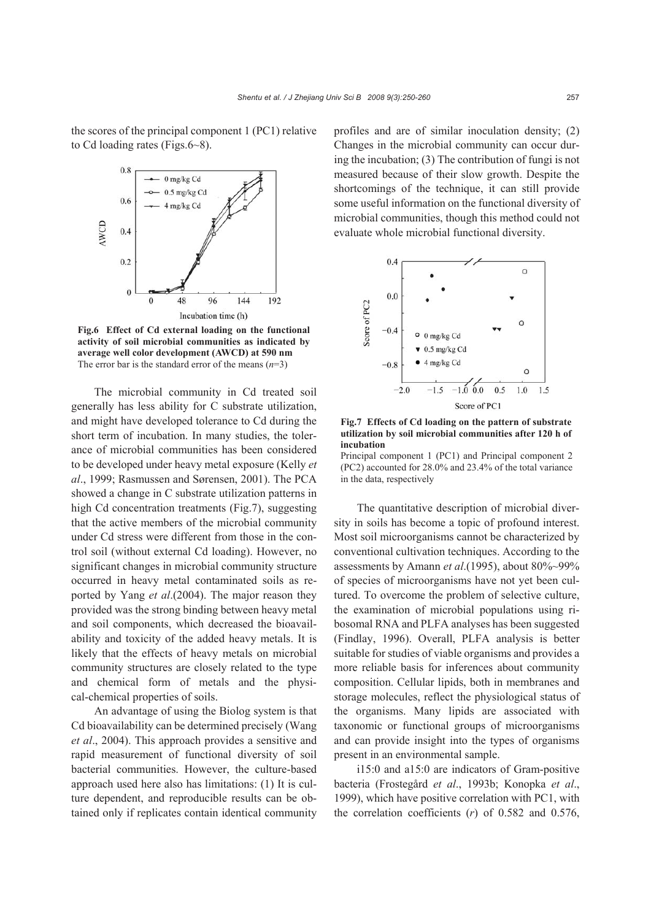the scores of the principal component 1 (PC1) relative to Cd loading rates (Figs.6~8).



**Fig.6 Effect of Cd external loading on the functional activity of soil microbial communities as indicated by average well color development (AWCD) at 590 nm**  The error bar is the standard error of the means  $(n=3)$ 

The microbial community in Cd treated soil generally has less ability for C substrate utilization, and might have developed tolerance to Cd during the short term of incubation. In many studies, the tolerance of microbial communities has been considered to be developed under heavy metal exposure (Kelly *et al*., 1999; Rasmussen and Sørensen, 2001). The PCA showed a change in C substrate utilization patterns in high Cd concentration treatments (Fig.7), suggesting that the active members of the microbial community under Cd stress were different from those in the control soil (without external Cd loading). However, no significant changes in microbial community structure occurred in heavy metal contaminated soils as reported by Yang *et al*.(2004). The major reason they provided was the strong binding between heavy metal and soil components, which decreased the bioavailability and toxicity of the added heavy metals. It is likely that the effects of heavy metals on microbial community structures are closely related to the type and chemical form of metals and the physical-chemical properties of soils.

An advantage of using the Biolog system is that Cd bioavailability can be determined precisely (Wang *et al*., 2004). This approach provides a sensitive and rapid measurement of functional diversity of soil bacterial communities. However, the culture-based approach used here also has limitations: (1) It is culture dependent, and reproducible results can be obtained only if replicates contain identical community profiles and are of similar inoculation density; (2) Changes in the microbial community can occur during the incubation; (3) The contribution of fungi is not measured because of their slow growth. Despite the shortcomings of the technique, it can still provide some useful information on the functional diversity of microbial communities, though this method could not evaluate whole microbial functional diversity.



**Fig.7 Effects of Cd loading on the pattern of substrate utilization by soil microbial communities after 120 h of incubation** 

Principal component 1 (PC1) and Principal component 2 (PC2) accounted for 28.0% and 23.4% of the total variance in the data, respectively

The quantitative description of microbial diversity in soils has become a topic of profound interest. Most soil microorganisms cannot be characterized by conventional cultivation techniques. According to the assessments by Amann *et al*.(1995), about 80%~99% of species of microorganisms have not yet been cultured. To overcome the problem of selective culture, the examination of microbial populations using ribosomal RNA and PLFA analyses has been suggested (Findlay, 1996). Overall, PLFA analysis is better suitable for studies of viable organisms and provides a more reliable basis for inferences about community composition. Cellular lipids, both in membranes and storage molecules, reflect the physiological status of the organisms. Many lipids are associated with taxonomic or functional groups of microorganisms and can provide insight into the types of organisms present in an environmental sample.

i15:0 and a15:0 are indicators of Gram-positive bacteria (Frostegård *et al*., 1993b; Konopka *et al*., 1999), which have positive correlation with PC1, with the correlation coefficients (*r*) of 0.582 and 0.576,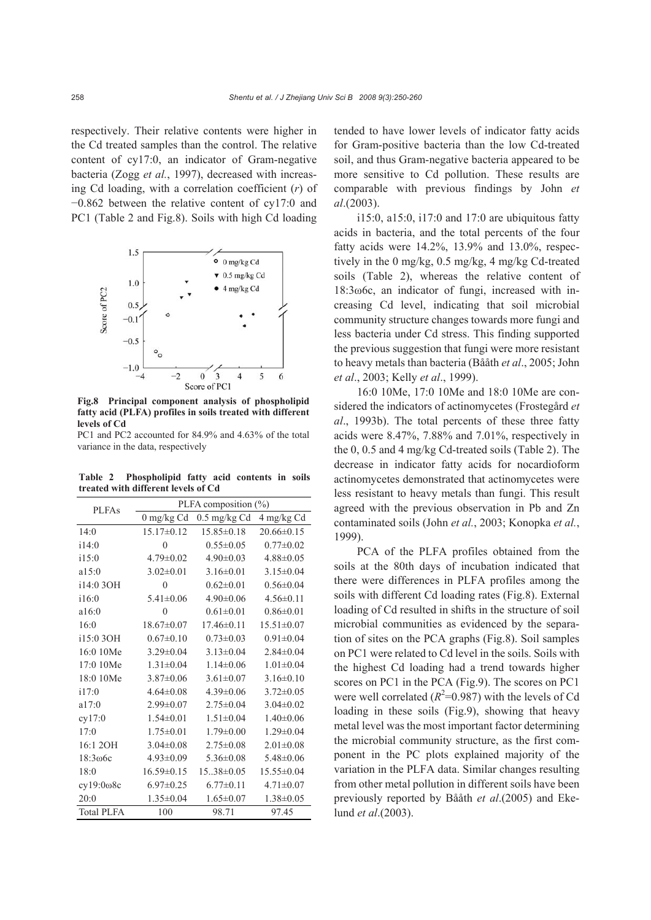respectively. Their relative contents were higher in the Cd treated samples than the control. The relative content of cy17:0, an indicator of Gram-negative bacteria (Zogg *et al.*, 1997), decreased with increasing Cd loading, with a correlation coefficient (*r*) of −0.862 between the relative content of cy17:0 and PC1 (Table 2 and Fig.8). Soils with high Cd loading



**Fig.8 Principal component analysis of phospholipid fatty acid (PLFA) profiles in soils treated with different levels of Cd** 

PC1 and PC2 accounted for 84.9% and 4.63% of the total variance in the data, respectively

**Table 2 Phospholipid fatty acid contents in soils treated with different levels of Cd**

| <b>PLFAs</b>      | PLFA composition $(\%)$ |                  |                  |  |  |  |
|-------------------|-------------------------|------------------|------------------|--|--|--|
|                   | $0$ mg/kg Cd            | $0.5$ mg/kg Cd   | 4 mg/kg Cd       |  |  |  |
| 14:0              | $15.17\pm0.12$          | $15.85\pm0.18$   | 20.66±0.15       |  |  |  |
| 114:0             | $\theta$                | $0.55 \pm 0.05$  | $0.77 \pm 0.02$  |  |  |  |
| i15:0             | $4.79 \pm 0.02$         | $4.90 \pm 0.03$  | $4.88 \pm 0.05$  |  |  |  |
| a15:0             | $3.02 \pm 0.01$         | $3.16 \pm 0.01$  | $3.15 \pm 0.04$  |  |  |  |
| i14:0 3OH         | $\theta$                | $0.62 \pm 0.01$  | $0.56 \pm 0.04$  |  |  |  |
| 116:0             | $5.41 \pm 0.06$         | $4.90 \pm 0.06$  | $4.56 \pm 0.11$  |  |  |  |
| a16:0             | $\theta$                | $0.61 \pm 0.01$  | $0.86 \pm 0.01$  |  |  |  |
| 16:0              | $18.67 \pm 0.07$        | $17.46 \pm 0.11$ | $15.51 \pm 0.07$ |  |  |  |
| i15:0 3OH         | $0.67 \pm 0.10$         | $0.73 \pm 0.03$  | $0.91 \pm 0.04$  |  |  |  |
| 16:0 10Me         | $3.29 \pm 0.04$         | $3.13 \pm 0.04$  | $2.84 \pm 0.04$  |  |  |  |
| 17:0 10Me         | $1.31 \pm 0.04$         | $1.14\pm0.06$    | $1.01 \pm 0.04$  |  |  |  |
| 18:0 10Me         | $3.87 \pm 0.06$         | $3.61 \pm 0.07$  | $3.16\pm0.10$    |  |  |  |
| i17:0             | $4.64 \pm 0.08$         | $4.39 \pm 0.06$  | $3.72 \pm 0.05$  |  |  |  |
| a17:0             | $2.99 \pm 0.07$         | $2.75 \pm 0.04$  | $3.04 \pm 0.02$  |  |  |  |
| cy17:0            | $1.54 \pm 0.01$         | $1.51 \pm 0.04$  | $1.40\pm0.06$    |  |  |  |
| 17:0              | $1.75 \pm 0.01$         | $1.79 \pm 0.00$  | $1.29 \pm 0.04$  |  |  |  |
| 16:1 2OH          | $3.04 \pm 0.08$         | $2.75 \pm 0.08$  | $2.01 \pm 0.08$  |  |  |  |
| 18:306c           | $4.93 \pm 0.09$         | $5.36 \pm 0.08$  | $5.48 \pm 0.06$  |  |  |  |
| 18:0              | $16.59 \pm 0.15$        | $15.38 \pm 0.05$ | 15.55±0.04       |  |  |  |
| $cy19:0\omega$ 8c | $6.97 \pm 0.25$         | $6.77 \pm 0.11$  | $4.71 \pm 0.07$  |  |  |  |
| 20:0              | $1.35 \pm 0.04$         | $1.65 \pm 0.07$  | $1.38 \pm 0.05$  |  |  |  |
| <b>Total PLFA</b> | 100                     | 98.71            | 97.45            |  |  |  |

tended to have lower levels of indicator fatty acids for Gram-positive bacteria than the low Cd-treated soil, and thus Gram-negative bacteria appeared to be more sensitive to Cd pollution. These results are comparable with previous findings by John *et al*.(2003).

i15:0, a15:0, i17:0 and 17:0 are ubiquitous fatty acids in bacteria, and the total percents of the four fatty acids were 14.2%, 13.9% and 13.0%, respectively in the 0 mg/kg, 0.5 mg/kg, 4 mg/kg Cd-treated soils (Table 2), whereas the relative content of 18:3ω6c, an indicator of fungi, increased with increasing Cd level, indicating that soil microbial community structure changes towards more fungi and less bacteria under Cd stress. This finding supported the previous suggestion that fungi were more resistant to heavy metals than bacteria (Bååth *et al*., 2005; John *et al*., 2003; Kelly *et al*., 1999).

16:0 10Me, 17:0 10Me and 18:0 10Me are considered the indicators of actinomycetes (Frostegård *et al*., 1993b). The total percents of these three fatty acids were 8.47%, 7.88% and 7.01%, respectively in the 0, 0.5 and 4 mg/kg Cd-treated soils (Table 2). The decrease in indicator fatty acids for nocardioform actinomycetes demonstrated that actinomycetes were less resistant to heavy metals than fungi. This result agreed with the previous observation in Pb and Zn contaminated soils (John *et al.*, 2003; Konopka *et al.*, 1999).

PCA of the PLFA profiles obtained from the soils at the 80th days of incubation indicated that there were differences in PLFA profiles among the soils with different Cd loading rates (Fig.8). External loading of Cd resulted in shifts in the structure of soil microbial communities as evidenced by the separation of sites on the PCA graphs (Fig.8). Soil samples on PC1 were related to Cd level in the soils. Soils with the highest Cd loading had a trend towards higher scores on PC1 in the PCA (Fig.9). The scores on PC1 were well correlated  $(R^2=0.987)$  with the levels of Cd loading in these soils (Fig.9), showing that heavy metal level was the most important factor determining the microbial community structure, as the first component in the PC plots explained majority of the variation in the PLFA data. Similar changes resulting from other metal pollution in different soils have been previously reported by Bååth *et al*.(2005) and Ekelund *et al*.(2003).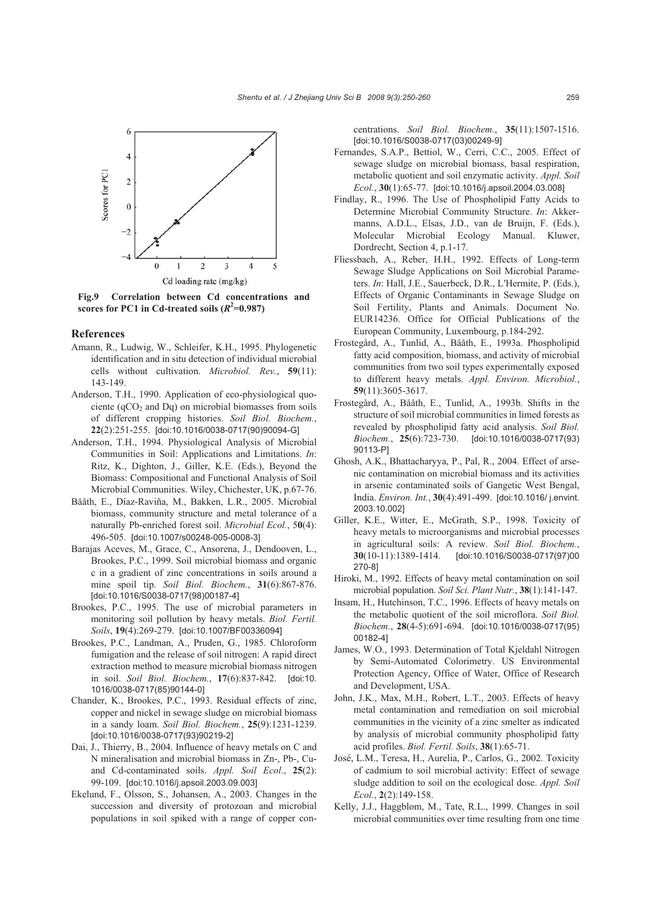

**Fig.9 Correlation between Cd concentrations and scores for PC1 in Cd-treated soils**  $(R^2=0.987)$ 

### **References**

- Amann, R., Ludwig, W., Schleifer, K.H., 1995. Phylogenetic identification and in situ detection of individual microbial cells without cultivation. *Microbiol. Rev.*, **59**(11): 143-149.
- Anderson, T.H., 1990. Application of eco-physiological quociente ( $qCO<sub>2</sub>$  and Dq) on microbial biomasses from soils of different cropping histories. *Soil Biol. Biochem.*, **22**(2):251-255. [doi:10.1016/0038-0717(90)90094-G]
- Anderson, T.H., 1994. Physiological Analysis of Microbial Communities in Soil: Applications and Limitations. *In*: Ritz, K., Dighton, J., Giller, K.E. (Eds.), Beyond the Biomass: Compositional and Functional Analysis of Soil Microbial Communities. Wiley, Chichester, UK, p.67-76.
- Bååth, E., Díaz-Raviña, M., Bakken, L.R., 2005. Microbial biomass, community structure and metal tolerance of a naturally Pb-enriched forest soil. *Microbial Ecol.*, 5**0**(4): 496-505. [doi:10.1007/s00248-005-0008-3]
- Barajas Aceves, M., Grace, C., Ansorena, J., Dendooven, L., Brookes, P.C., 1999. Soil microbial biomass and organic c in a gradient of zinc concentrations in soils around a mine spoil tip. *Soil Biol. Biochem.*, **31**(6):867-876. [doi:10.1016/S0038-0717(98)00187-4]
- Brookes, P.C., 1995. The use of microbial parameters in monitoring soil pollution by heavy metals. *Biol. Fertil. Soils*, **19**(4):269-279. [doi:10.1007/BF00336094]
- Brookes, P.C., Landman, A., Pruden, G., 1985. Chloroform fumigation and the release of soil nitrogen: A rapid direct extraction method to measure microbial biomass nitrogen in soil. *Soil Biol. Biochem.*, **17**(6):837-842. [doi:10. 1016/0038-0717(85)90144-0]
- Chander, K., Brookes, P.C., 1993. Residual effects of zinc, copper and nickel in sewage sludge on microbial biomass in a sandy loam. *Soil Biol. Biochem.*, **25**(9):1231-1239. [doi:10.1016/0038-0717(93)90219-2]
- Dai, J., Thierry, B., 2004. Influence of heavy metals on C and N mineralisation and microbial biomass in Zn-, Pb-, Cuand Cd-contaminated soils. *Appl. Soil Ecol.*, **25**(2): 99-109. [doi:10.1016/j.apsoil.2003.09.003]
- Ekelund, F., Olsson, S., Johansen, A., 2003. Changes in the succession and diversity of protozoan and microbial populations in soil spiked with a range of copper con-

centrations. *Soil Biol. Biochem.*, **35**(11):1507-1516. [doi:10.1016/S0038-0717(03)00249-9]

- Fernandes, S.A.P., Bettiol, W., Cerri, C.C., 2005. Effect of sewage sludge on microbial biomass, basal respiration, metabolic quotient and soil enzymatic activity. *Appl. Soil Ecol.*, **30**(1):65-77. [doi:10.1016/j.apsoil.2004.03.008]
- Findlay, R., 1996. The Use of Phospholipid Fatty Acids to Determine Microbial Community Structure. *In*: Akkermanns, A.D.L., Elsas, J.D., van de Bruijn, F. (Eds.), Molecular Microbial Ecology Manual. Kluwer, Dordrecht, Section 4, p.1-17.
- Fliessbach, A., Reber, H.H., 1992. Effects of Long-term Sewage Sludge Applications on Soil Microbial Parameters. *In*: Hall, J.E., Sauerbeck, D.R., L′Hermite, P. (Eds.), Effects of Organic Contaminants in Sewage Sludge on Soil Fertility, Plants and Animals. Document No. EUR14236. Office for Official Publications of the European Community, Luxembourg, p.184-292.
- Frostegård, A., Tunlid, A., Bååth, E., 1993a. Phospholipid fatty acid composition, biomass, and activity of microbial communities from two soil types experimentally exposed to different heavy metals. *Appl. Environ. Microbiol.*, **59**(11):3605-3617.
- Frostegård, A., Bååth, E., Tunlid, A., 1993b. Shifts in the structure of soil microbial communities in limed forests as revealed by phospholipid fatty acid analysis. *Soil Biol. Biochem.*, **25**(6):723-730. [doi:10.1016/0038-0717(93) 90113-P]
- Ghosh, A.K., Bhattacharyya, P., Pal, R., 2004. Effect of arsenic contamination on microbial biomass and its activities in arsenic contaminated soils of Gangetic West Bengal, India. *Environ. Int.*, **30**(4):491-499. [doi:10.1016/ j.envint. 2003.10.002]
- Giller, K.E., Witter, E., McGrath, S.P., 1998. Toxicity of heavy metals to microorganisms and microbial processes in agricultural soils: A review. *Soil Biol. Biochem.*, **30**(10-11):1389-1414. [doi:10.1016/S0038-0717(97)00 270-8]
- Hiroki, M., 1992. Effects of heavy metal contamination on soil microbial population. *Soil Sci. Plant Nutr.*, **38**(1):141-147.
- Insam, H., Hutchinson, T.C., 1996. Effects of heavy metals on the metabolic quotient of the soil microflora. *Soil Biol. Biochem.*, **28**(4-5):691-694. [doi:10.1016/0038-0717(95) 00182-4]
- James, W.O., 1993. Determination of Total Kjeldahl Nitrogen by Semi-Automated Colorimetry. US Environmental Protection Agency, Office of Water, Office of Research and Development, USA.
- John, J.K., Max, M.H., Robert, L.T., 2003. Effects of heavy metal contamination and remediation on soil microbial communities in the vicinity of a zinc smelter as indicated by analysis of microbial community phospholipid fatty acid profiles. *Biol. Fertil. Soils*, **38**(1):65-71.
- José, L.M., Teresa, H., Aurelia, P., Carlos, G., 2002. Toxicity of cadmium to soil microbial activity: Effect of sewage sludge addition to soil on the ecological dose. *Appl. Soil Ecol.*, **2**(2):149-158.
- Kelly, J.J., Haggblom, M., Tate, R.L., 1999. Changes in soil microbial communities over time resulting from one time